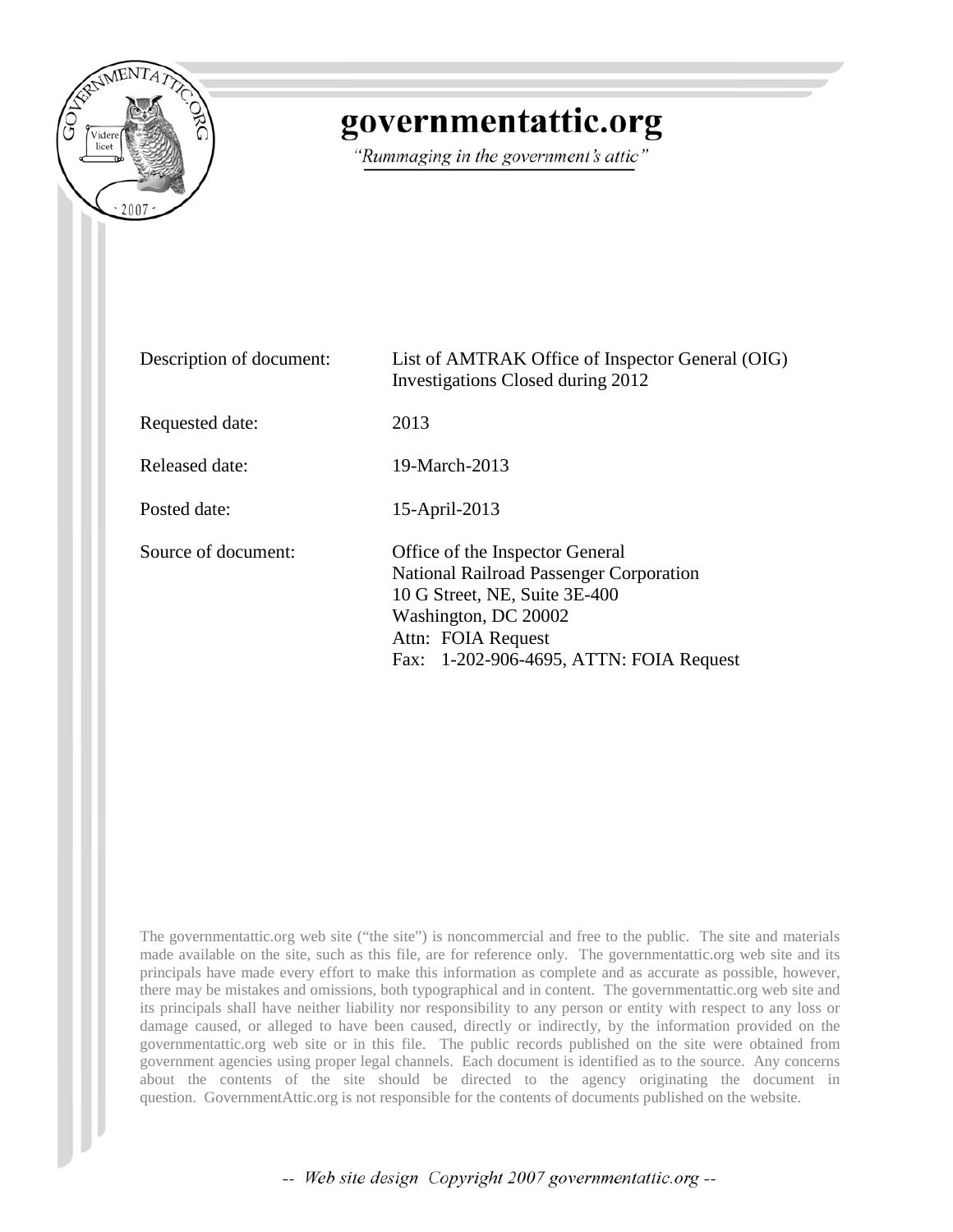

## governmentattic.org

"Rummaging in the government's attic"

| Description of document: | List of AMTRAK Office of Inspector General (OIG)<br>Investigations Closed during 2012                                                                                                                |
|--------------------------|------------------------------------------------------------------------------------------------------------------------------------------------------------------------------------------------------|
| Requested date:          | 2013                                                                                                                                                                                                 |
| Released date:           | 19-March-2013                                                                                                                                                                                        |
| Posted date:             | 15-April-2013                                                                                                                                                                                        |
| Source of document:      | Office of the Inspector General<br>National Railroad Passenger Corporation<br>10 G Street, NE, Suite 3E-400<br>Washington, DC 20002<br>Attn: FOIA Request<br>Fax: 1-202-906-4695, ATTN: FOIA Request |

The governmentattic.org web site ("the site") is noncommercial and free to the public. The site and materials made available on the site, such as this file, are for reference only. The governmentattic.org web site and its principals have made every effort to make this information as complete and as accurate as possible, however, there may be mistakes and omissions, both typographical and in content. The governmentattic.org web site and its principals shall have neither liability nor responsibility to any person or entity with respect to any loss or damage caused, or alleged to have been caused, directly or indirectly, by the information provided on the governmentattic.org web site or in this file. The public records published on the site were obtained from government agencies using proper legal channels. Each document is identified as to the source. Any concerns about the contents of the site should be directed to the agency originating the document in question. GovernmentAttic.org is not responsible for the contents of documents published on the website.

-- Web site design Copyright 2007 governmentattic.org --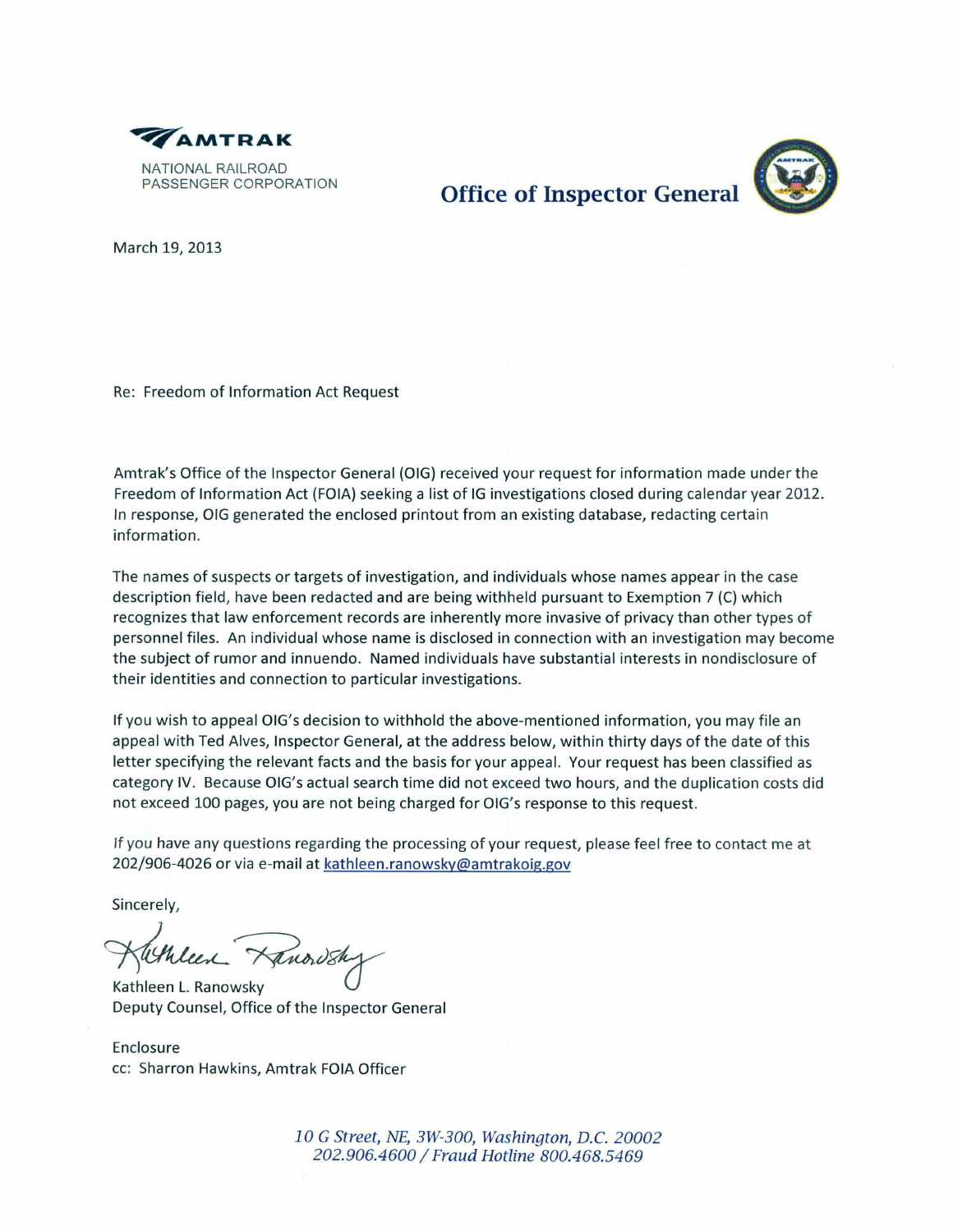

**Office of Inspector General** 

March 19, 2013

Re: Freedom of Information Act Request

Amtrak's Office of the Inspector General {OIG) received your request for information made under the Freedom of Information Act (FOIA) seeking a list of IG investigations closed during calendar year 2012. In response, OIG generated the enclosed printout from an existing database, redacting certain information.

The names of suspects or targets of investigation, and individuals whose names appear in the case description field, have been redacted and are being withheld pursuant to Exemption 7 (C) which recognizes that law enforcement records are inherently more invasive of privacy than other types of personnel files. An individual whose name is disclosed in connection with an investigation may become the subject of rumor and innuendo. Named individuals have substantial interests in nondisclosure of their identities and connection to particular investigations.

If you wish to appeal OIG's decision to withhold the above-mentioned information, you may file an appeal with Ted Alves, Inspector General, at the address below, within thirty days of the date of this letter specifying the relevant facts and the basis for your appeal. Your request has been classified as category IV. Because OIG's actual search time did not exceed two hours, and the duplication costs did not exceed 100 pages, you are not being charged for OIG's response to this request.

If you have any questions regarding the processing of your request, please feel free to contact me at 202/906-4026 or via e-mail at kathleen.ranowsky@amtrakoig.gov

Sincerely,

Kathleen Hanordsh

Deputy Counsel, Office of the Inspector General

Enclosure cc: Sharron Hawkins, Amtrak FOIA Officer

> 10 G Street, NE, 3W-300, Washington, D.C. 20002 202.906.4600 / Fraud Hotline 800.468.5469